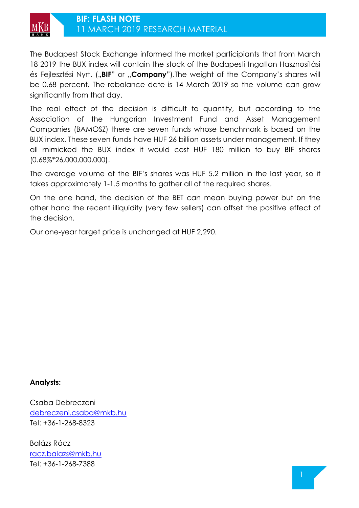

The Budapest Stock Exchange informed the market participiants that from March 18 2019 the BUX index will contain the stock of the Budapesti Ingatlan Hasznosítási és Fejlesztési Nyrt. ("BIF" or "Company").The weight of the Company's shares will be 0.68 percent. The rebalance date is 14 March 2019 so the volume can grow significantly from that day.

The real effect of the decision is difficult to quantify, but according to the Association of the Hungarian Investment Fund and Asset Management Companies (BAMOSZ) there are seven funds whose benchmark is based on the BUX index. These seven funds have HUF 26 billion assets under management. If they all mimicked the BUX index it would cost HUF 180 million to buy BIF shares (0.68%\*26,000,000,000).

The average volume of the BIF's shares was HUF 5.2 million in the last year, so it takes approximately 1-1.5 months to gather all of the required shares.

On the one hand, the decision of the BET can mean buying power but on the other hand the recent illiquidity (very few sellers) can offset the positive effect of the decision.

Our one-year target price is unchanged at HUF 2,290.

## **Analysts:**

Csaba Debreczeni [debreczeni.csaba@mkb.hu](mailto:debreczeni.csaba@mkb.hu) Tel: +36-1-268-8323

Balázs Rácz [racz.balazs@mkb.hu](mailto:racz.balazs@mkb.hu) Tel: +36-1-268-7388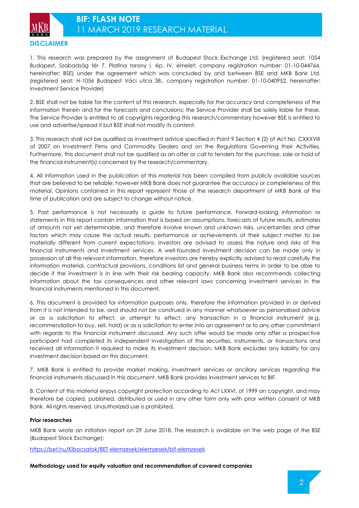

1. This research was prepared by the assignment of Budapest Stock Exchange Ltd. (registered seat: 1054 Budapest, Szabadság tér 7. Platina torony I. ép. IV. emelet; company registration number: 01-10-044764, hereinafter: BSE) under the agreement which was concluded by and between BSE and MKB Bank Ltd. (registered seat: H-1056 Budapest Váci utca 38., company registration number: 01-10-040952, hereinafter: Investment Service Provider)

2. BSE shall not be liable for the content of this research, especially for the accuracy and completeness of the information therein and for the forecasts and conclusions; the Service Provider shall be solely liable for these. The Service Provider is entitled to all copyrights regarding this research/commentary however BSE is entitled to use and advertise/spread it but BSE shall not modify its content.

3. This research shall not be qualified as investment advice specified in Point 9 Section 4 (2) of Act No. CXXXVIII of 2007 on Investment Firms and Commodity Dealers and on the Regulations Governing their Activities. Furthermore, this document shall not be qualified as an offer or call to tenders for the purchase, sale or hold of the financial instrument(s) concerned by the research/commentary.

4. All information used in the publication of this material has been compiled from publicly available sources that are believed to be reliable; however MKB Bank does not guarantee the accuracy or completeness of this material. Opinions contained in this report represent those of the research department of MKB Bank at the time of publication and are subject to change without notice.

5. Past performance is not necessarily a guide to future performance. Forward-looking information or statements in this report contain information that is based on assumptions, forecasts of future results, estimates of amounts not yet determinable, and therefore involve known and unknown risks, uncertainties and other factors which may cause the actual results, performance or achievements of their subject matter to be materially different from current expectations. Investors are advised to assess the nature and risks of the financial instruments and investment services. A well-founded investment decision can be made only in possession of all the relevant information, therefore investors are hereby explicitly advised to read carefully the information material, contractual provisions, conditions list and general business terms in order to be able to decide if the investment is in line with their risk bearing capacity. MKB Bank also recommends collecting information about the tax consequences and other relevant laws concerning investment services in the financial instruments mentioned in this document.

6. This document is provided for information purposes only, therefore the information provided in or derived from it is not intended to be, and should not be construed in any manner whatsoever as personalised advice or as a solicitation to effect, or attempt to effect, any transaction in a financial instrument (e.g. recommendation to buy, sell, hold) or as a solicitation to enter into an agreement or to any other commitment with regards to the financial instrument discussed. Any such offer would be made only after a prospective participant had completed its independent investigation of the securities, instruments, or transactions and received all information it required to make its investment decision. MKB Bank excludes any liability for any investment decision based on this document.

7. MKB Bank is entitled to provide market making, investment services or ancillary services regarding the financial instruments discussed in this document. MKB Bank provides investment services to BIF.

8. Content of this material enjoys copyright protection according to Act LXXVI. of 1999 on copyright, and may therefore be copied, published, distributed or used in any other form only with prior written consent of MKB Bank. All rights reserved. Unauthorized use is prohibited.

## **Prior researches**

MKB Bank wrote an initiation report on 29 June 2018. The research is available on the web page of the BSE (Budapest Stock Exchange):

<https://bet.hu/Kibocsatok/BET-elemzesek/elemzesek/bif-elemzesek>

**Methodology used for equity valuation and recommendation of covered companies**